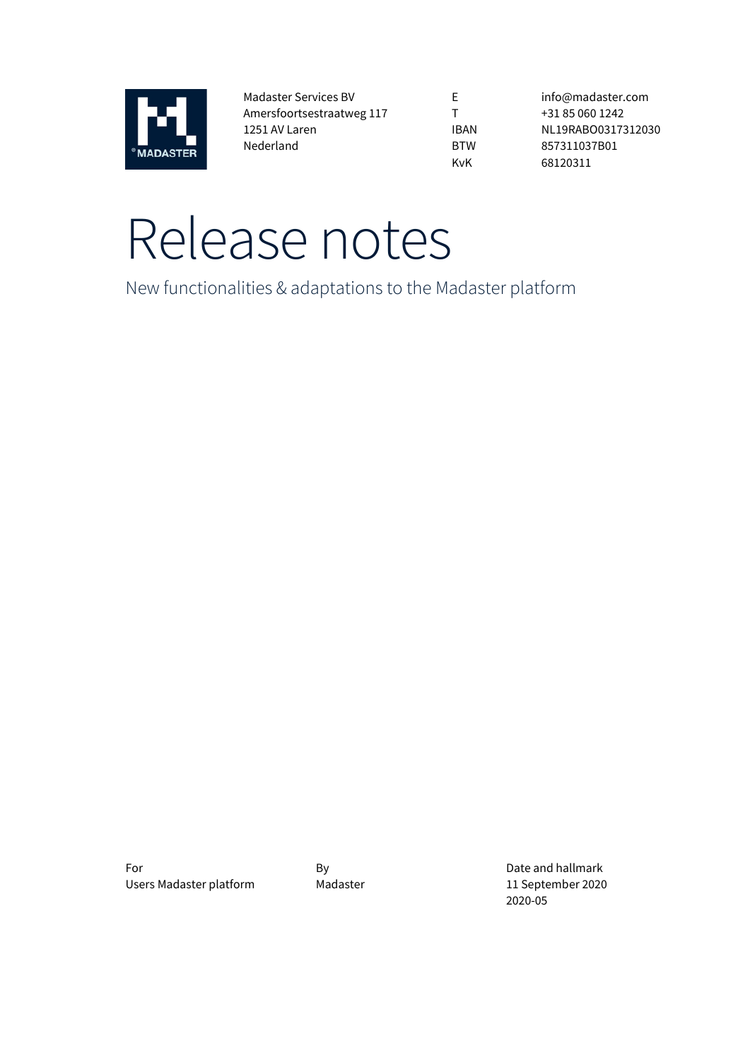

Madaster Services BV Amersfoortsestraatweg 117 1251 AV Laren Nederland

E T IBAN BTW KvK

info@madaster.com +31 85 060 1242 NL19RABO0317312030 857311037B01 68120311

# Release notes

New functionalities & adaptations to the Madaster platform

For By By By Date and hallmark Users Madaster platform Madaster Madaster 11 September 2020

2020-05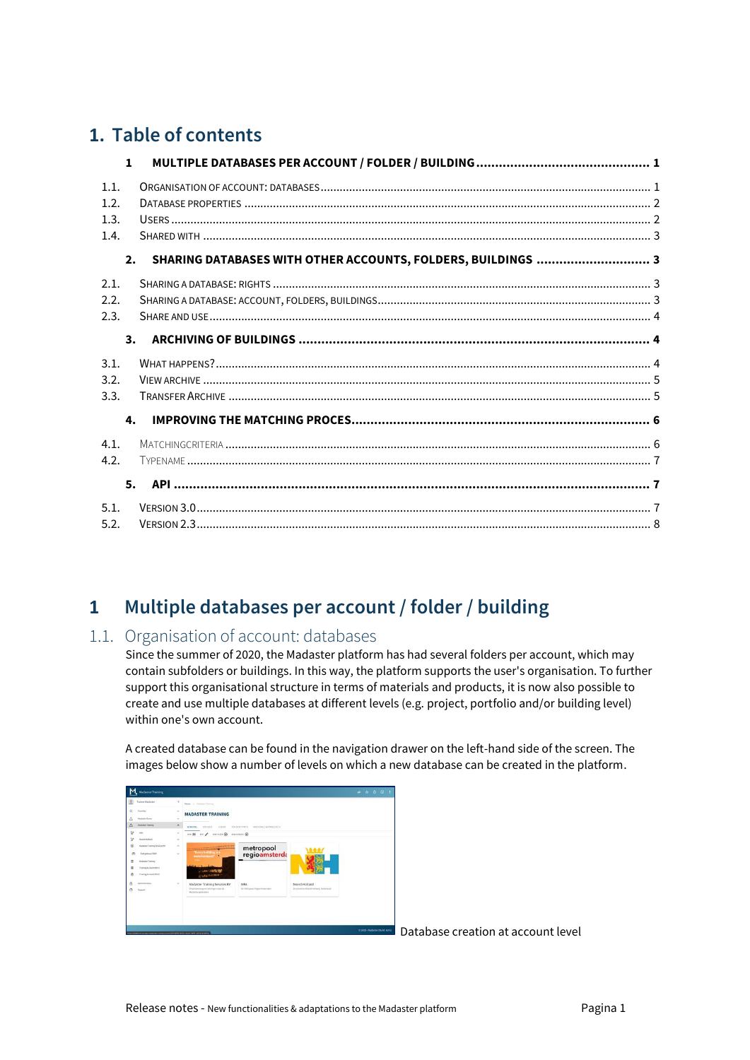# **1. Table of contents**

|      | $\mathbf{1}$ |                                                              |  |
|------|--------------|--------------------------------------------------------------|--|
| 1.1. |              |                                                              |  |
| 1.2. |              |                                                              |  |
| 1.3. |              |                                                              |  |
| 1.4. |              |                                                              |  |
|      | 2.           | SHARING DATABASES WITH OTHER ACCOUNTS, FOLDERS, BUILDINGS  3 |  |
| 2.1. |              |                                                              |  |
| 2.2. |              |                                                              |  |
| 2.3. |              |                                                              |  |
|      | 3.           |                                                              |  |
| 3.1. |              |                                                              |  |
| 3.2. |              |                                                              |  |
| 3.3. |              |                                                              |  |
|      | 4.           |                                                              |  |
| 4.1. |              |                                                              |  |
| 4.2. |              |                                                              |  |
|      | 5.           |                                                              |  |
| 5.1. |              |                                                              |  |
| 5.2. |              |                                                              |  |

# <span id="page-1-0"></span>**1 Multiple databases per account / folder / building**

## <span id="page-1-1"></span>1.1. Organisation of account: databases

Since the summer of 2020, the Madaster platform has had several folders per account, which may contain subfolders or buildings. In this way, the platform supports the user's organisation. To further support this organisational structure in terms of materials and products, it is now also possible to create and use multiple databases at different levels (e.g. project, portfolio and/or building level) within one's own account.

A created database can be found in the navigation drawer on the left-hand side of the screen. The images below show a number of levels on which a new database can be created in the platform.



Database creation at account level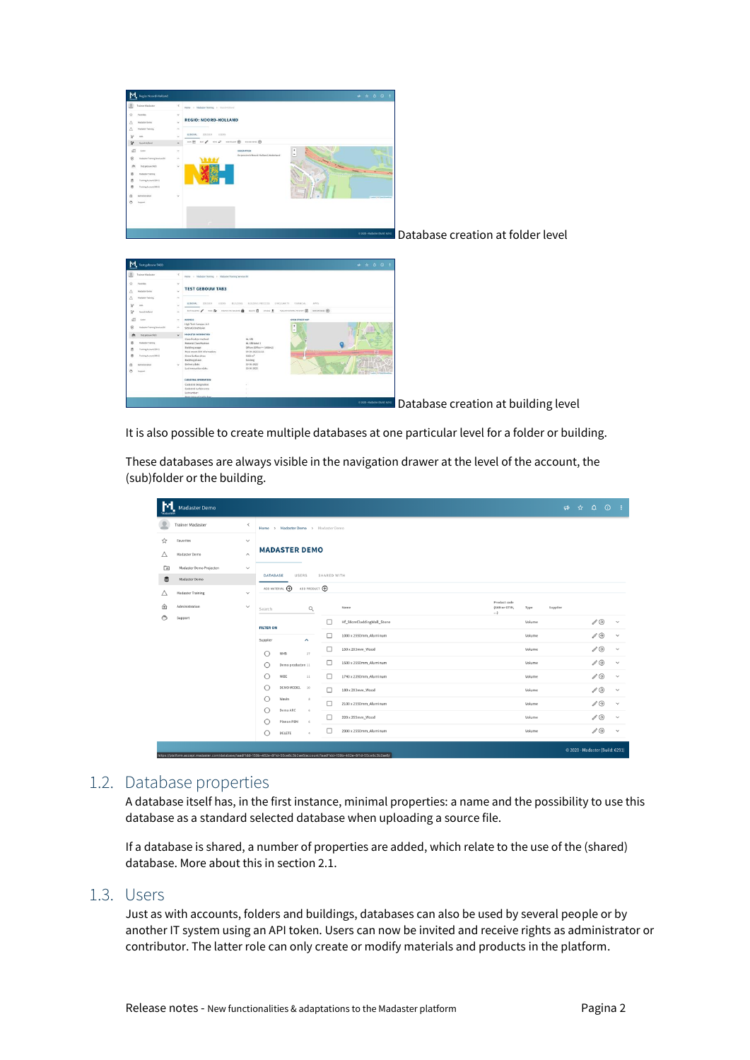

It is also possible to create multiple databases at one particular level for a folder or building.

These databases are always visible in the navigation drawer at the level of the account, the (sub)folder or the building.

| $\mathbf{M}$ | <b>Madaster Demo</b>     |                         |                                                   |                      |                                                                                                                                 |                                     |        | $\Rightarrow$ |                         | $\qquad \qquad \hat{\mathbf{r}} \qquad \hat{\mathbf{r}} \qquad \hat{\mathbf{r}} \qquad \hat{\mathbf{r}} \qquad \hat{\mathbf{r}} \qquad \hat{\mathbf{r}} \qquad \hat{\mathbf{r}} \qquad \hat{\mathbf{r}} \qquad \hat{\mathbf{r}} \qquad \hat{\mathbf{r}} \qquad \hat{\mathbf{r}} \qquad \hat{\mathbf{r}} \qquad \hat{\mathbf{r}} \qquad \hat{\mathbf{r}} \qquad \hat{\mathbf{r}} \qquad \hat{\mathbf{r}} \qquad \hat{\mathbf{r}} \qquad \hat{\mathbf{r}} \qquad \hat{\mathbf{r}} \qquad \hat{\mathbf$ |              | - 1          |  |  |
|--------------|--------------------------|-------------------------|---------------------------------------------------|----------------------|---------------------------------------------------------------------------------------------------------------------------------|-------------------------------------|--------|---------------|-------------------------|------------------------------------------------------------------------------------------------------------------------------------------------------------------------------------------------------------------------------------------------------------------------------------------------------------------------------------------------------------------------------------------------------------------------------------------------------------------------------------------------------|--------------|--------------|--|--|
|              | <b>Trainer Madaster</b>  | $\,<$                   | Home > Madaster Demo > Madaster Demo              |                      |                                                                                                                                 |                                     |        |               |                         |                                                                                                                                                                                                                                                                                                                                                                                                                                                                                                      |              |              |  |  |
| ☆            | Favorites                | $\checkmark$            |                                                   |                      |                                                                                                                                 |                                     |        |               |                         |                                                                                                                                                                                                                                                                                                                                                                                                                                                                                                      |              |              |  |  |
| Δ            | Madaster Demo            | $\widehat{\phantom{a}}$ |                                                   | <b>MADASTER DEMO</b> |                                                                                                                                 |                                     |        |               |                         |                                                                                                                                                                                                                                                                                                                                                                                                                                                                                                      |              |              |  |  |
| $\Box$       | Madaster Demo Projecten  | $\checkmark$            |                                                   |                      |                                                                                                                                 |                                     |        |               |                         |                                                                                                                                                                                                                                                                                                                                                                                                                                                                                                      |              |              |  |  |
| $\mathbf{S}$ | Madaster Demo            |                         | USERS<br><b>DATABASE</b>                          |                      | SHARED WITH                                                                                                                     |                                     |        |               |                         |                                                                                                                                                                                                                                                                                                                                                                                                                                                                                                      |              |              |  |  |
| Δ            | <b>Madaster Training</b> | $\checkmark$            | ADD MATERIAL <sup>4</sup>                         | ADD PRODUCT (+)      |                                                                                                                                 |                                     |        |               |                         |                                                                                                                                                                                                                                                                                                                                                                                                                                                                                                      |              |              |  |  |
|              | Administration           | $\checkmark$            | Q<br>Search                                       |                      | Name                                                                                                                            | Product code<br>(EAN or GTIN,<br>() | Type   | Supplier      |                         |                                                                                                                                                                                                                                                                                                                                                                                                                                                                                                      |              |              |  |  |
| ⊙            | Support                  |                         | <b>FILTER ON</b>                                  |                      | Hf_58cmCladdingWall_Stone                                                                                                       |                                     | Volume |               |                         | $\mathscr{O}$                                                                                                                                                                                                                                                                                                                                                                                                                                                                                        |              | $\checkmark$ |  |  |
|              |                          |                         | Supplier<br>$\hat{\phantom{a}}$                   |                      | □<br>1000 x 2550mm_Aluminum                                                                                                     |                                     | Volume |               |                         | $\mathscr{O}^{\bullet}$                                                                                                                                                                                                                                                                                                                                                                                                                                                                              |              | $\checkmark$ |  |  |
|              |                          |                         | NNB<br>27                                         |                      | $\Box$<br>150 x 203mm_Wood<br>□<br>1500 x 2550mm_Aluminum                                                                       | Volume                              |        |               | $\mathscr{O}^{\bullet}$ |                                                                                                                                                                                                                                                                                                                                                                                                                                                                                                      | $\checkmark$ |              |  |  |
|              |                          |                         | O<br>Demo producten 11                            |                      |                                                                                                                                 | Volume                              |        |               | $\mathscr{O}$           |                                                                                                                                                                                                                                                                                                                                                                                                                                                                                                      | $\checkmark$ |              |  |  |
|              |                          |                         | NIBE<br>11                                        |                      | □<br>1740 x 2390mm_Aluminum                                                                                                     |                                     | Volume |               |                         | $\mathscr{O}$                                                                                                                                                                                                                                                                                                                                                                                                                                                                                        |              | $\checkmark$ |  |  |
|              |                          |                         | DEMO MODEL<br>10                                  |                      | □<br>180 x 203mm_Wood                                                                                                           |                                     | Volume |               |                         | $\mathscr{O} \odot$                                                                                                                                                                                                                                                                                                                                                                                                                                                                                  |              | $\checkmark$ |  |  |
|              |                          |                         | Wavin<br>8                                        |                      | □<br>2100 x 2550mm_Aluminum                                                                                                     |                                     | Volume |               |                         | $\mathscr{O} \odot$                                                                                                                                                                                                                                                                                                                                                                                                                                                                                  |              | $\checkmark$ |  |  |
|              |                          |                         | Demo ARC<br>$\leq$<br>Planon PBM<br>$\mathcal{L}$ |                      | 220 x 255mm_Wood<br>□                                                                                                           |                                     | Volume |               |                         | $\mathscr{O}^{\bullet}$                                                                                                                                                                                                                                                                                                                                                                                                                                                                              |              | $\checkmark$ |  |  |
|              |                          |                         | DELETE<br>$\mathcal{A}$                           |                      | 2300 x 2550mm_Aluminum<br>□                                                                                                     |                                     | Volume |               |                         | $\mathscr{O} \odot$                                                                                                                                                                                                                                                                                                                                                                                                                                                                                  |              | $\checkmark$ |  |  |
|              |                          |                         |                                                   |                      | https://platform.gocept.madaster.com/database/1saditid=150b-402a-0f1d-55pa0c3b2aa0/populat/1saditd=150b-402a-0f1d-55pa0c3b2aa0/ |                                     |        |               |                         | © 2020 - Madaster (Build: 6291)                                                                                                                                                                                                                                                                                                                                                                                                                                                                      |              |              |  |  |

## <span id="page-2-0"></span>1.2. Database properties

A database itself has, in the first instance, minimal properties: a name and the possibility to use this database as a standard selected database when uploading a source file.

If a database is shared, a number of properties are added, which relate to the use of the (shared) database. More about this in section 2.1.

#### <span id="page-2-1"></span>1.3. Users

Just as with accounts, folders and buildings, databases can also be used by several people or by another IT system using an API token. Users can now be invited and receive rights as administrator or contributor. The latter role can only create or modify materials and products in the platform.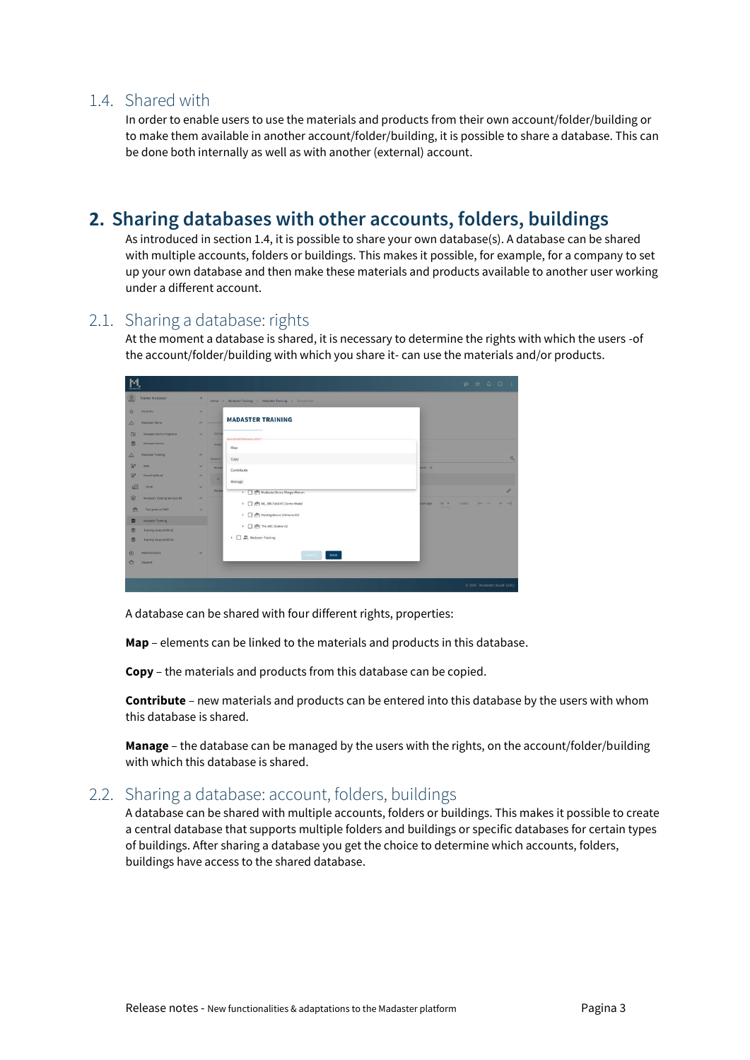## <span id="page-3-0"></span>1.4. Shared with

In order to enable users to use the materials and products from their own account/folder/building or to make them available in another account/folder/building, it is possible to share a database. This can be done both internally as well as with another (external) account.

## <span id="page-3-1"></span>**2. Sharing databases with other accounts, folders, buildings**

As introduced in section 1.4, it is possible to share your own database(s). A database can be shared with multiple accounts, folders or buildings. This makes it possible, for example, for a company to set up your own database and then make these materials and products available to another user working under a different account.

## <span id="page-3-2"></span>2.1. Sharing a database: rights

At the moment a database is shared, it is necessary to determine the rights with which the users -of the account/folder/building with which you share it- can use the materials and/or products.



A database can be shared with four different rights, properties:

**Map** – elements can be linked to the materials and products in this database.

**Copy** – the materials and products from this database can be copied.

**Contribute** – new materials and products can be entered into this database by the users with whom this database is shared.

**Manage** – the database can be managed by the users with the rights, on the account/folder/building with which this database is shared.

## <span id="page-3-3"></span>2.2. Sharing a database: account, folders, buildings

A database can be shared with multiple accounts, folders or buildings. This makes it possible to create a central database that supports multiple folders and buildings or specific databases for certain types of buildings. After sharing a database you get the choice to determine which accounts, folders, buildings have access to the shared database.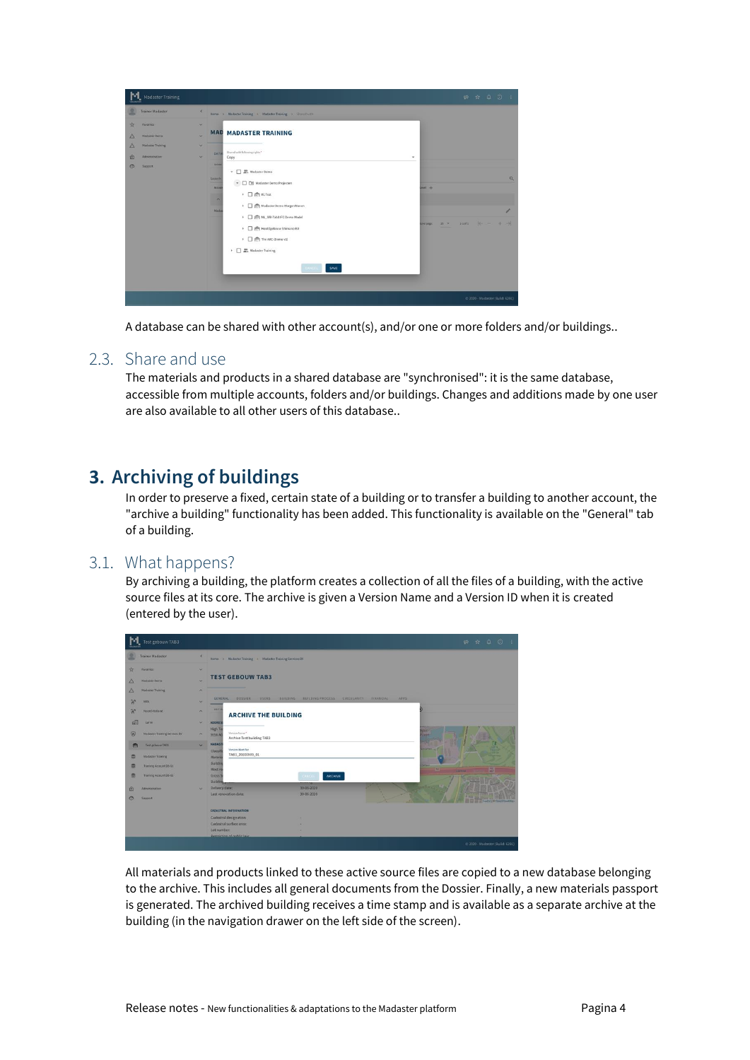| Madaster Training                                                                                                                                                             |                                                                                                                      |                                                                                                                                                                                                                                                                                                                                            |                              |       |                                 |
|-------------------------------------------------------------------------------------------------------------------------------------------------------------------------------|----------------------------------------------------------------------------------------------------------------------|--------------------------------------------------------------------------------------------------------------------------------------------------------------------------------------------------------------------------------------------------------------------------------------------------------------------------------------------|------------------------------|-------|---------------------------------|
| Trainer Madaster<br>☆<br><b>Favorites</b><br>$\triangle$<br><b>Madaster Demo</b><br>Δ<br><b>Madaster Training</b><br><b>Q</b><br>Administration:<br>$\circ$<br><b>Support</b> | ×<br>×.<br>$\overline{\mathbf{v}}$<br>u<br>DATAL<br>×<br>DIARE<br>Search<br>$\sim$<br>Accaus<br>$\sim$<br>٠<br>Madas | Home > Madaster Training > Madaster Training > Shamil with<br><b>MAD MADASTER TRAINING</b><br>Shared with following rights"<br>Copy<br>٠<br>$\overline{\phantom{a}}$ $\overline{\phantom{a}}$ Madaster Demo<br>- <b>Madaster Demo Projecten</b><br>▶ □ 曲 Ifc Test<br>>       Madaster Demo MorgenWonen<br>> C # NL_SfB-Tab3 IFC Demo Model | $+$<br>$25 - 2$<br>Der page: | $+ +$ | Q<br>A                          |
|                                                                                                                                                                               |                                                                                                                      | + C (P Hoofdgebouw Shimano EU<br>▶ □ 图 The ARC (Demo v1)<br><sup>93</sup> , Madaster Training<br>×<br>EANCEL<br>SAVE                                                                                                                                                                                                                       |                              |       | @ 2020 - Madaster (Build: 6291) |

A database can be shared with other account(s), and/or one or more folders and/or buildings..

### <span id="page-4-0"></span>2.3. Share and use

The materials and products in a shared database are "synchronised": it is the same database, accessible from multiple accounts, folders and/or buildings. Changes and additions made by one user are also available to all other users of this database..

## <span id="page-4-1"></span>**3. Archiving of buildings**

In order to preserve a fixed, certain state of a building or to transfer a building to another account, the "archive a building" functionality has been added. This functionality is available on the "General" tab of a building.

#### <span id="page-4-2"></span>3.1. What happens?

By archiving a building, the platform creates a collection of all the files of a building, with the active source files at its core. The archive is given a Version Name and a Version ID when it is created (entered by the user).

|             | Test gebouw TAB3              |                          |                                                                                                  |                                 |
|-------------|-------------------------------|--------------------------|--------------------------------------------------------------------------------------------------|---------------------------------|
|             | Trainer Madaster              | ×                        | Home > Madaster Training > Madaster Training Services BV                                         |                                 |
| ☆           | Favorites                     | ×                        |                                                                                                  |                                 |
| $\triangle$ | <b>Madaster Demo</b>          | u                        | <b>TEST GEBOUW TAB3</b>                                                                          |                                 |
| $\Delta$    | <b>Madaster Training</b>      | $\sim$                   |                                                                                                  |                                 |
| $\approx$   | <b>MRA</b>                    | ×                        | <b>GENERAL</b><br>DOSSIER<br><b>INSERS</b><br>BUILDING PROCESS CIRCULARITY FINANCIAL<br>BUILDING | <b>APPS</b>                     |
| $\approx$   | Noond-Holland                 | $\sim$                   | <b>EDIT BS</b><br><b>ARCHIVE THE BUILDING</b>                                                    |                                 |
| $\Omega$    | Larro                         | ۰                        | <b>ADDRES</b>                                                                                    |                                 |
| 因           | Madaster Training Services BV | $\sim$                   | <b>High Te</b><br>Version Name*<br>5656 AG<br>Archive Test building TAB3                         | 225.8<br>düri<br><b>SENTY</b>   |
| 曲           | Test gabouw TAB3              | $\overline{\phantom{a}}$ | <b>MADAST</b><br>Version Identifier                                                              |                                 |
| s           | <b>Madaster Training</b>      |                          | Classifi<br>TAB3_20200909_01<br>Materia                                                          |                                 |
| 奧           | Training Account 08-01        |                          | <b>Buildin</b><br><b>Most re</b>                                                                 | $-$<br>岛<br><b>NO</b>           |
| s           | Training Account DB-02        |                          | Gross S<br><b>ARCHIVE</b><br>CANCEL<br><b>Building</b>                                           | <b>VARNIST</b>                  |
| 金           | <b>Administration</b>         | ×                        | 30-06-2020<br>Delivery date:                                                                     |                                 |
| G           | Support                       |                          | 30-05-2020<br>Last renovation date:                                                              | <b>Lealfel / El Openiti</b>     |
|             |                               |                          | <b>CADASTRAL INFORMATION</b>                                                                     |                                 |
|             |                               |                          | Cadastral designation:                                                                           |                                 |
|             |                               |                          | Cadastral surface area:                                                                          |                                 |
|             |                               |                          | Lot number:<br>٠<br>Restriction of public law                                                    |                                 |
|             |                               |                          |                                                                                                  | @ 2020 - Madaster (Build: 6291) |

All materials and products linked to these active source files are copied to a new database belonging to the archive. This includes all general documents from the Dossier. Finally, a new materials passport is generated. The archived building receives a time stamp and is available as a separate archive at the building (in the navigation drawer on the left side of the screen).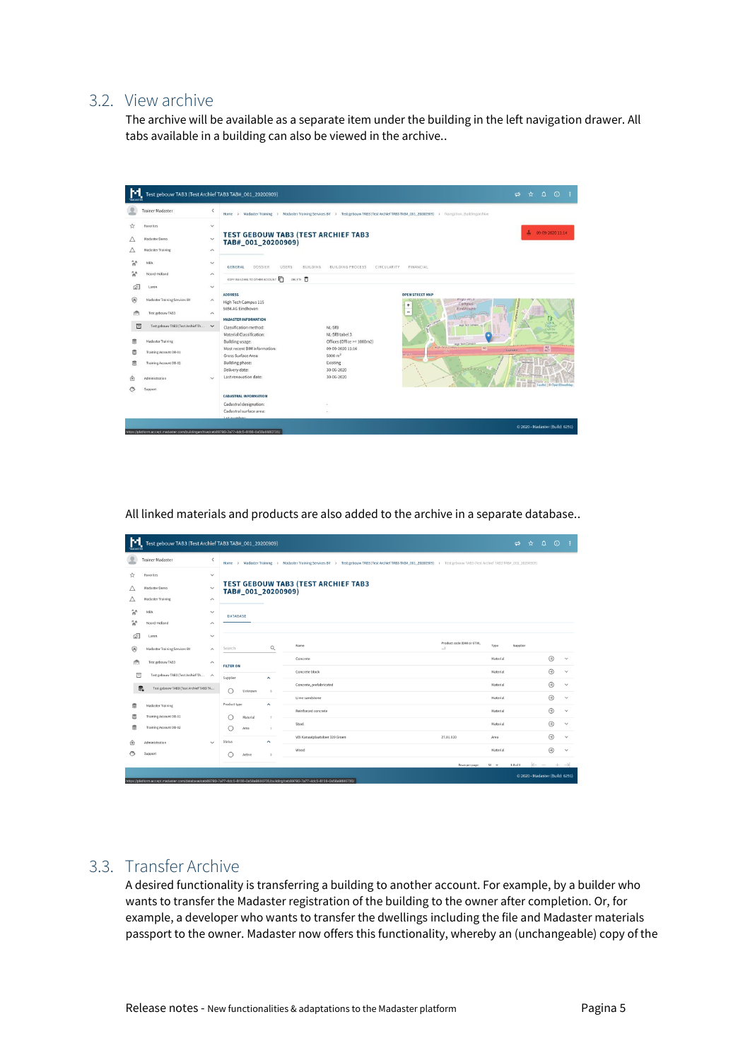## <span id="page-5-0"></span>3.2. View archive

The archive will be available as a separate item under the building in the left navigation drawer. All tabs available in a building can also be viewed in the archive..

|   | <b>Trainer Madaster</b>             | $\leq$                  | Home                                                             |                                              | > Madaster Training > Madaster Training Services BV > Test gebouw TAB3 (Test Archief TAB3 TAB#_001_20200909) > Navigation_Buildingarchive |
|---|-------------------------------------|-------------------------|------------------------------------------------------------------|----------------------------------------------|-------------------------------------------------------------------------------------------------------------------------------------------|
| ☆ | Favorites                           | $\checkmark$            |                                                                  |                                              |                                                                                                                                           |
|   | Madaster Demo                       | $\checkmark$            | <b>TEST GEBOUW TAB3 (TEST ARCHIEF TAB3</b><br>TAB#_001_20200909) |                                              | 土<br>09-09-2020 11:14                                                                                                                     |
| Δ | <b>Madaster Training</b>            | $\scriptstyle\wedge$    |                                                                  |                                              |                                                                                                                                           |
|   | MRA                                 | $\checkmark$            | <b>GENERAL</b><br>DOSSIER<br>USERS                               | <b>BUILDING</b><br>BUILDING PROCESS          | CIRCULARITY<br>FINANCIAL                                                                                                                  |
| W | Noord-Holland                       | $\hat{\phantom{a}}$     | COPY BUILDING TO OTHER ACCOUNT<br><b>DELETE D</b>                |                                              |                                                                                                                                           |
| ⋒ | Laren                               | $\checkmark$            |                                                                  |                                              |                                                                                                                                           |
| 痈 | Madaster Training Services BV       | $\widehat{\phantom{a}}$ | <b>ADDRESS</b><br>High Tech Campus 115                           |                                              | <b>OPEN STREET MAP</b><br>тниклеси.<br>Campus<br>$\ddot{}$                                                                                |
| 龠 | Test gebouw TAB3                    | $\sim$                  | 5656 AG Eindhoven                                                |                                              | Eindhoven<br>$\overline{\phantom{a}}$<br>$\sqrt{1-\frac{1}{2}}$                                                                           |
| 目 | Test gebouw TAB3 (Test Archief TA V |                         | <b>MADASTER INFORMATION</b><br>Classification method:            | NL-SfB                                       | <b>SOFA</b><br>sup Tech Campus<br>Dubi De                                                                                                 |
| e | <b>Madaster Training</b>            |                         | Material Classification:<br>Building usage:                      | NL-SfB tabel 3<br>Offices (Office >= 1000m2) | Gresslower<br>High Tech Campus                                                                                                            |
| S | Training Account DB-01              |                         | Most recent BIM information:<br>Gross Surface Area:              | 09-09-2020 11:16<br>$5000 \text{ m}^2$       | <b>Migh-fech Comput</b><br>$\frac{\lambda2}{\lambda67}$<br>N2<br>Laareing<br><b>TOUT</b>                                                  |
| e | Training Account DB-02              |                         | Building phase:<br>Delivery date:                                | Existing<br>30-06-2020                       |                                                                                                                                           |
| 仞 | Administration                      | s.                      | Last renovation date:                                            | 30-06-2020                                   |                                                                                                                                           |
|   | Support                             |                         |                                                                  |                                              | Leafet   C OpenStreetMap                                                                                                                  |
|   |                                     |                         | <b>CADASTRAL INFORMATION</b>                                     |                                              |                                                                                                                                           |
|   |                                     |                         | Cadastral designation:                                           |                                              |                                                                                                                                           |
|   |                                     |                         | Cadastral surface area:                                          |                                              |                                                                                                                                           |

All linked materials and products are also added to the archive in a separate database..

| м              | Test gebouw TAB3 (Test Archief TAB3 TAB#_001_20200909)                                       |                         |                       |                    |                          |               |                                                                                                                                                 |                                        |          | $\Rightarrow$ | $\qquad \qquad \hat{\mathbf{r}} \qquad \hat{\mathbf{u}} \qquad \hat{\mathbf{v}} \qquad \hat{\mathbf{v}}$ |         | ÷.                 |
|----------------|----------------------------------------------------------------------------------------------|-------------------------|-----------------------|--------------------|--------------------------|---------------|-------------------------------------------------------------------------------------------------------------------------------------------------|----------------------------------------|----------|---------------|----------------------------------------------------------------------------------------------------------|---------|--------------------|
|                | <b>Trainer Madaster</b>                                                                      | $\langle$               | Home<br>$\rightarrow$ | Madaster Training  |                          | $\rightarrow$ | Madaster Training Services BV > Test gebouw TAB3 (Test Archief TAB3 TAB#_001_20200909) > Test gebouw TAB3 (Test Archief TAB3 TAB#_001_20200909) |                                        |          |               |                                                                                                          |         |                    |
| ☆              | Favorites                                                                                    | $\checkmark$            |                       |                    |                          |               |                                                                                                                                                 |                                        |          |               |                                                                                                          |         |                    |
| Δ              | Madaster Demo                                                                                | $\checkmark$            |                       | TAB#_001_20200909) |                          |               | <b>TEST GEBOUW TAB3 (TEST ARCHIEF TAB3</b>                                                                                                      |                                        |          |               |                                                                                                          |         |                    |
| Δ              | <b>Madaster Training</b>                                                                     | $\widehat{\phantom{a}}$ |                       |                    |                          |               |                                                                                                                                                 |                                        |          |               |                                                                                                          |         |                    |
| ٩ŕ             | MRA                                                                                          | $\checkmark$            | <b>DATABASE</b>       |                    |                          |               |                                                                                                                                                 |                                        |          |               |                                                                                                          |         |                    |
| $\mathbb{R}^n$ | Noord-Holland                                                                                | $\wedge$                |                       |                    |                          |               |                                                                                                                                                 |                                        |          |               |                                                                                                          |         |                    |
| வி             | Laren                                                                                        | $\checkmark$            |                       |                    |                          |               |                                                                                                                                                 |                                        |          |               |                                                                                                          |         |                    |
| ⊛              | Madaster Training Services BV                                                                | $\hat{\phantom{a}}$     | Search                |                    | $\alpha$                 |               | Name                                                                                                                                            | Product code (EAN or GTIN,<br>$\ldots$ | Type     | Supplier      |                                                                                                          |         |                    |
| 龠              | Test gebouw TAB3                                                                             | $\widehat{\phantom{a}}$ | <b>FILTER ON</b>      |                    |                          |               | Concrete                                                                                                                                        |                                        | Material |               |                                                                                                          | $\odot$ | $\checkmark$       |
| 同              | Test gebouw TAB3 (Test Archief TA<br><br><br><br><br>$\begin{array}{ccc} \hline \end{array}$ |                         | Supplier              |                    | $\overline{\phantom{a}}$ |               | Concrete block                                                                                                                                  |                                        | Material |               |                                                                                                          | $\odot$ | $\checkmark$       |
| e.             | Test gebouw TAB3 (Test Archief TAB3 TA                                                       |                         |                       | Unknown            | $\overline{\mathbf{x}}$  |               | Concrete, prefabricated                                                                                                                         |                                        | Material |               |                                                                                                          | $\odot$ | $\checkmark$       |
|                |                                                                                              |                         |                       |                    |                          |               | Lime sandstone                                                                                                                                  |                                        | Material |               |                                                                                                          | $\odot$ | $\checkmark$       |
| S              | Madaster Training                                                                            |                         | Product type          |                    | $\hat{\phantom{a}}$      |               | Reinforced concrete                                                                                                                             |                                        | Material |               |                                                                                                          | $\odot$ | $\checkmark$       |
| s              | Training Account DB-01                                                                       |                         |                       | Material           | $\overline{z}$           |               | Steel                                                                                                                                           |                                        | Material |               |                                                                                                          | $\odot$ | $\checkmark$       |
| 3              | Training Account DB-02                                                                       |                         |                       | Area               | $\mathbf{I}$             |               | VBI Kanaalplaatvloer 320 Groen                                                                                                                  | 27.01.020                              | Area     |               |                                                                                                          | $\odot$ | $\checkmark$       |
| ⊕              | Administration                                                                               | L.                      | Status                |                    | $\hat{\phantom{a}}$      |               |                                                                                                                                                 |                                        | Material |               |                                                                                                          |         |                    |
| G              | Support                                                                                      |                         |                       | Active             | $\mathbb{R}$             |               | Wood                                                                                                                                            |                                        |          |               |                                                                                                          | $\odot$ | $\checkmark$       |
|                |                                                                                              |                         |                       |                    |                          |               |                                                                                                                                                 | Rows per page:                         | $50 - 4$ | $1-8$ of $8$  |                                                                                                          |         | $\rightarrow$<br>÷ |
|                |                                                                                              |                         |                       |                    |                          |               | a conservative and a conservative conservative of                                                                                               |                                        |          |               | © 2020 - Madaster (Build: 6291)                                                                          |         |                    |

### <span id="page-5-1"></span>3.3. Transfer Archive

A desired functionality is transferring a building to another account. For example, by a builder who wants to transfer the Madaster registration of the building to the owner after completion. Or, for example, a developer who wants to transfer the dwellings including the file and Madaster materials passport to the owner. Madaster now offers this functionality, whereby an (unchangeable) copy of the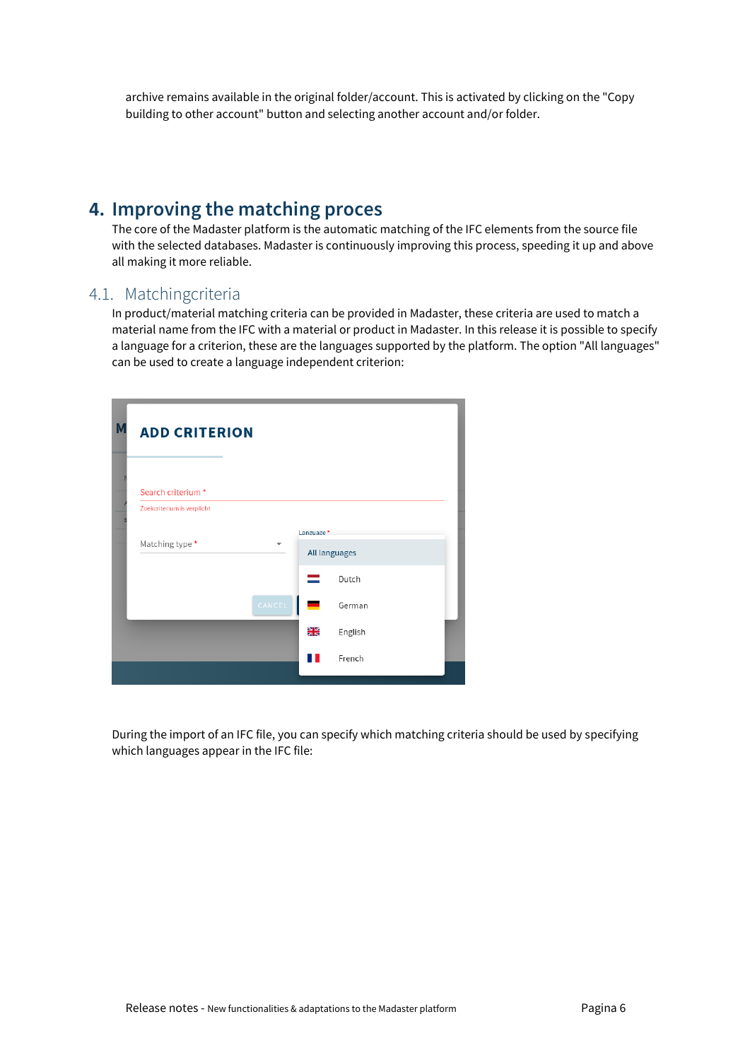archive remains available in the original folder/account. This is activated by clicking on the "Copy building to other account" button and selecting another account and/or folder.

# <span id="page-6-0"></span>**4. Improving the matching proces**

The core of the Madaster platform is the automatic matching of the IFC elements from the source file with the selected databases. Madaster is continuously improving this process, speeding it up and above all making it more reliable.

## <span id="page-6-1"></span>4.1. Matchingcriteria

In product/material matching criteria can be provided in Madaster, these criteria are used to match a material name from the IFC with a material or product in Madaster. In this release it is possible to specify a language for a criterion, these are the languages supported by the platform. The option "All languages" can be used to create a language independent criterion:



During the import of an IFC file, you can specify which matching criteria should be used by specifying which languages appear in the IFC file: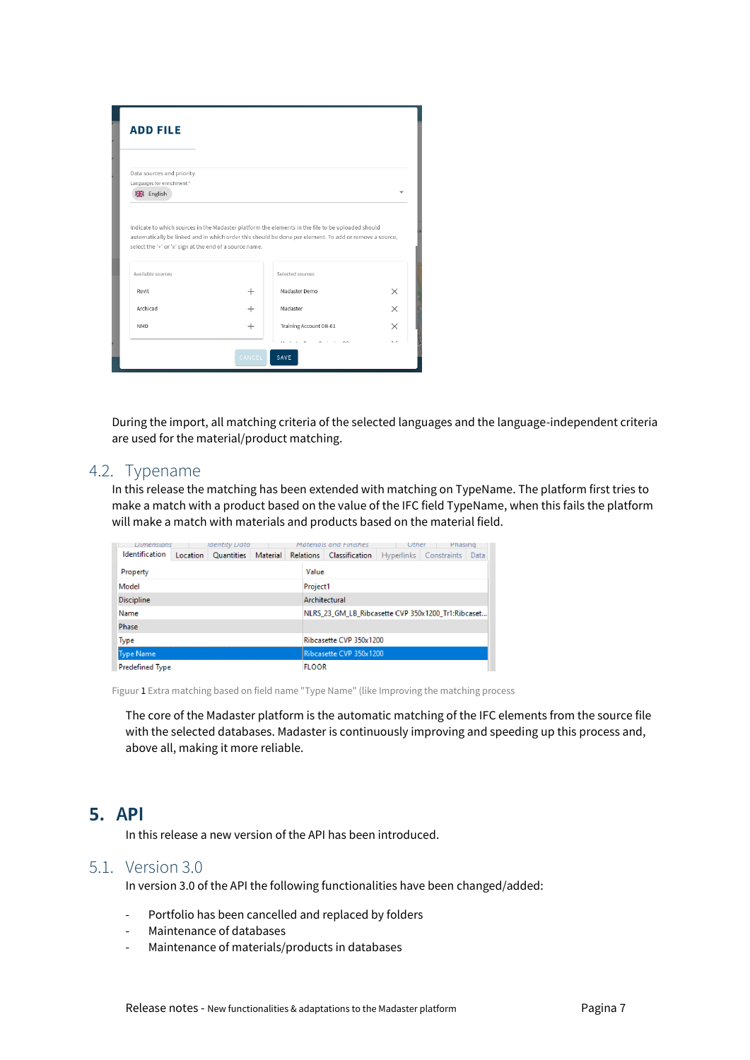| Data sources and priority                               |           |                                                                                                                                                                                                             |          |
|---------------------------------------------------------|-----------|-------------------------------------------------------------------------------------------------------------------------------------------------------------------------------------------------------------|----------|
| Languages for enrichment *                              |           |                                                                                                                                                                                                             |          |
| <b>He</b> English                                       |           |                                                                                                                                                                                                             |          |
| select the '+' or 'x' sign at the end of a source name. |           | Indicate to which sources in the Madaster platform the elements in the file to be uploaded should<br>automatically be linked and in which order this should be done per element. To add or remove a source, |          |
| Available sources                                       |           | Selected sources                                                                                                                                                                                            |          |
| Revit                                                   | $^{+}$    | Madaster Demo                                                                                                                                                                                               | $\times$ |
| Archicad                                                | $^{+}$    | Madaster                                                                                                                                                                                                    | $\times$ |
| <b>NMD</b>                                              | $\ddot{}$ | Training Account DB-01                                                                                                                                                                                      | $\times$ |

During the import, all matching criteria of the selected languages and the language-independent criteria are used for the material/product matching.

#### <span id="page-7-0"></span>4.2. Typename

In this release the matching has been extended with matching on TypeName. The platform first tries to make a match with a product based on the value of the IFC field TypeName, when this fails the platform will make a match with materials and products based on the material field.

| Dimensions             |          | <b>Identity Data</b> |          |       |                         | Materials and Finishes                             | Uther                  |  | Phasing |  |
|------------------------|----------|----------------------|----------|-------|-------------------------|----------------------------------------------------|------------------------|--|---------|--|
| Identification         | Location | Quantities           | Material |       |                         | Relations Classification                           | Hyperlinks Constraints |  | Data    |  |
| Property               |          |                      |          | Value |                         |                                                    |                        |  |         |  |
| Model                  |          |                      |          |       | Project1                |                                                    |                        |  |         |  |
| <b>Discipline</b>      |          |                      |          |       |                         | Architectural                                      |                        |  |         |  |
| Name                   |          |                      |          |       |                         | NLRS 23 GM LB Ribcasette CVP 350x1200 Tr1:Ribcaset |                        |  |         |  |
| Phase                  |          |                      |          |       |                         |                                                    |                        |  |         |  |
| <b>Type</b>            |          |                      |          |       | Ribcasette CVP 350x1200 |                                                    |                        |  |         |  |
| Type Name              |          |                      |          |       |                         | Ribcasette CVP 350x1200                            |                        |  |         |  |
| <b>Predefined Type</b> |          |                      |          |       | <b>FLOOR</b>            |                                                    |                        |  |         |  |

Figuur 1 Extra matching based on field name "Type Name" (like Improving the matching process

The core of the Madaster platform is the automatic matching of the IFC elements from the source file with the selected databases. Madaster is continuously improving and speeding up this process and, above all, making it more reliable.

## <span id="page-7-1"></span>**5. API**

In this release a new version of the API has been introduced.

### <span id="page-7-2"></span>5.1. Version 3.0

In version 3.0 of the API the following functionalities have been changed/added:

- Portfolio has been cancelled and replaced by folders
- Maintenance of databases
- Maintenance of materials/products in databases